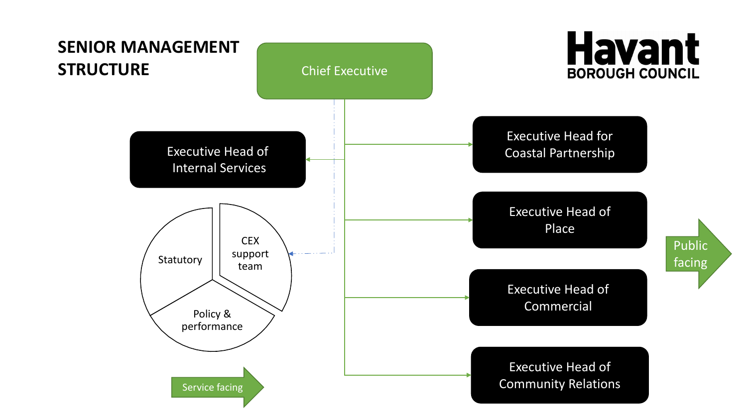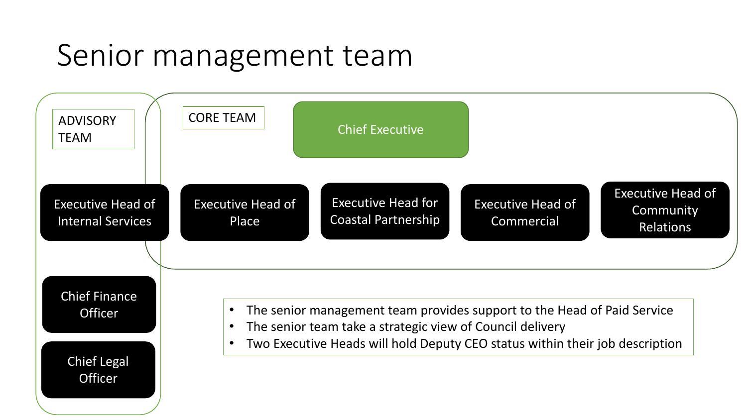#### Senior management team

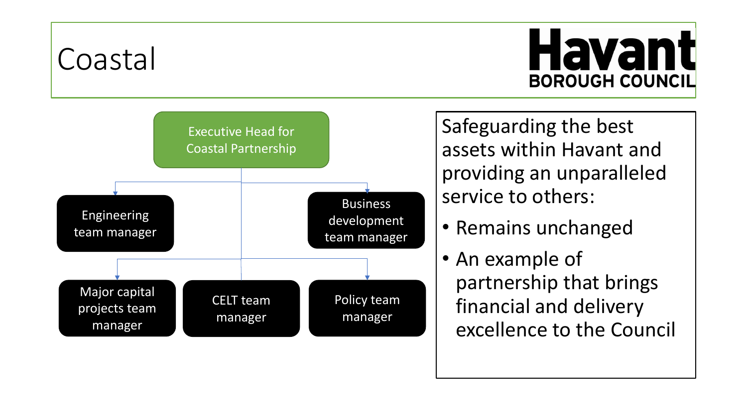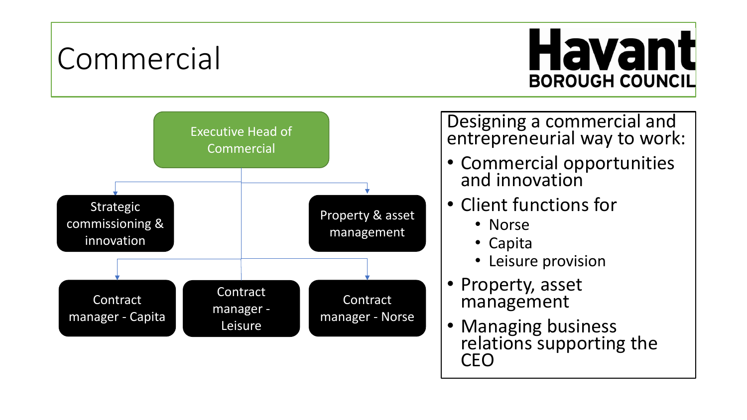#### Commercial

# **Havant BOROUGH COUNCIL**



Designing a commercial and entrepreneurial way to work:

- Commercial opportunities and innovation
- Client functions for
	- Norse
	- Capita
	- Leisure provision
- Property, asset management
- Managing business relations supporting the CEO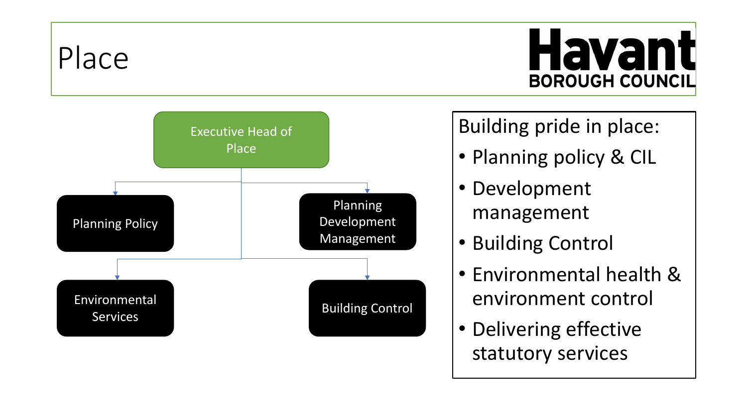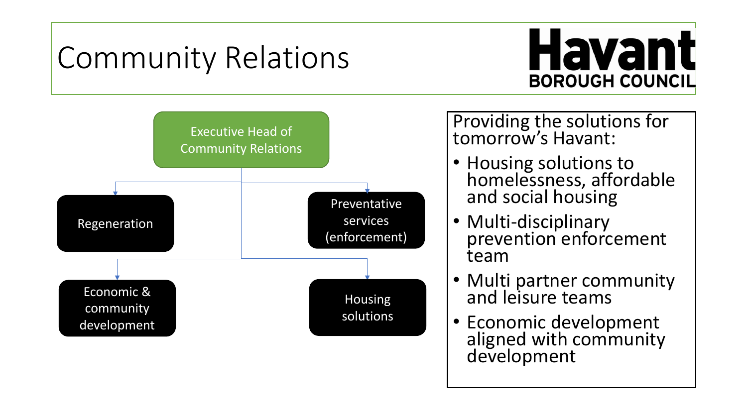# Community Relations





Providing the solutions for tomorrow's Havant:

- Housing solutions to homelessness, affordable and social housing
- Multi-disciplinary prevention enforcement team
- Multi partner community and leisure teams
- Economic development aligned with community development